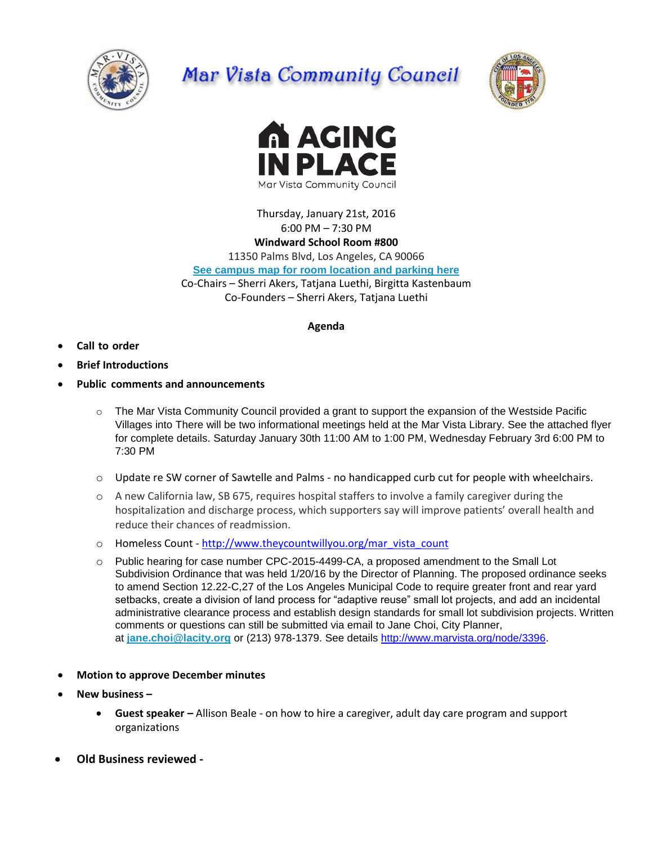

## Mar Vista Community Council





Thursday, January 21st, 2016 6:00 PM – 7:30 PM **Windward School Room #800**

11350 Palms Blvd, Los Angeles, CA 90066

**[See campus map for room location and parking here](https://windwardschool.myschoolapp.com/ftpimages/176/download/download_1671327.pdf)**

Co-Chairs – Sherri Akers, Tatjana Luethi, Birgitta Kastenbaum

Co-Founders – Sherri Akers, Tatjana Luethi

## **Agenda**

- **Call to order**
- **Brief Introductions**
- **Public comments and announcements**
	- $\circ$  The Mar Vista Community Council provided a grant to support the expansion of the Westside Pacific Villages into There will be two informational meetings held at the Mar Vista Library. See the attached flyer for complete details. Saturday January 30th 11:00 AM to 1:00 PM, Wednesday February 3rd 6:00 PM to 7:30 PM
	- $\circ$  Update re SW corner of Sawtelle and Palms no handicapped curb cut for people with wheelchairs.
	- o A new California law, SB 675, requires hospital staffers to involve a family caregiver during the hospitalization and discharge process, which supporters say will improve patients' overall health and reduce their chances of readmission.
	- o Homeless Count [http://www.theycountwillyou.org/mar\\_vista\\_count](http://www.theycountwillyou.org/mar_vista_count)
	- o Public hearing for case number CPC-2015-4499-CA, a proposed amendment to the Small Lot Subdivision Ordinance that was held 1/20/16 by the Director of Planning. The proposed ordinance seeks to amend Section 12.22-C,27 of the Los Angeles Municipal Code to require greater front and rear yard setbacks, create a division of land process for "adaptive reuse" small lot projects, and add an incidental administrative clearance process and establish design standards for small lot subdivision projects. Written comments or questions can still be submitted via email to Jane Choi, City Planner, at **[jane.choi@lacity.org](mailto:jane.choi@lacity.org)** or (213) 978-1379. See details [http://www.marvista.org/node/3396.](http://www.marvista.org/node/3396)
- **Motion to approve December minutes**
- **New business –**
	- **Guest speaker –** Allison Beale on how to hire a caregiver, adult day care program and support organizations
- **Old Business reviewed -**